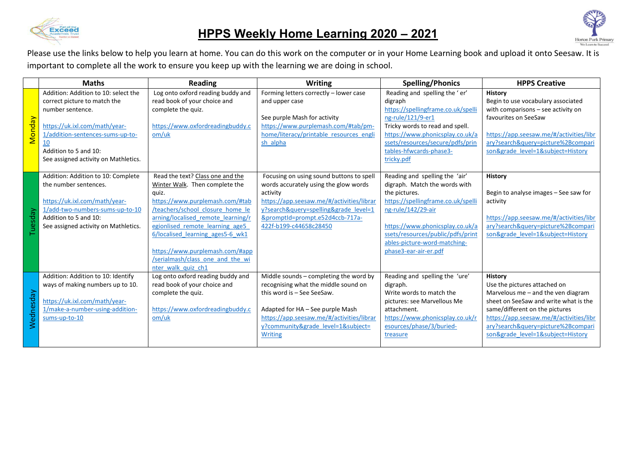

## **HPPS Weekly Home Learning 2020 – 2021**



Please use the links below to help you learn at home. You can do this work on the computer or in your Home Learning book and upload it onto Seesaw. It is important to complete all the work to ensure you keep up with the learning we are doing in school.

|                     | <b>Maths</b>                                                                                                                                                                                                                         | <b>Reading</b>                                                                                                                                                                                                                                                                                                                                               | <b>Writing</b>                                                                                                                                                                                                                                        | <b>Spelling/Phonics</b>                                                                                                                                                                                                                                                       | <b>HPPS Creative</b>                                                                                                                                                                                                                                                                    |
|---------------------|--------------------------------------------------------------------------------------------------------------------------------------------------------------------------------------------------------------------------------------|--------------------------------------------------------------------------------------------------------------------------------------------------------------------------------------------------------------------------------------------------------------------------------------------------------------------------------------------------------------|-------------------------------------------------------------------------------------------------------------------------------------------------------------------------------------------------------------------------------------------------------|-------------------------------------------------------------------------------------------------------------------------------------------------------------------------------------------------------------------------------------------------------------------------------|-----------------------------------------------------------------------------------------------------------------------------------------------------------------------------------------------------------------------------------------------------------------------------------------|
| <mark>Monday</mark> | Addition: Addition to 10: select the<br>correct picture to match the<br>number sentence.<br>https://uk.ixl.com/math/year-<br>1/addition-sentences-sums-up-to-<br>10<br>Addition to 5 and 10:<br>See assigned activity on Mathletics. | Log onto oxford reading buddy and<br>read book of your choice and<br>complete the quiz.<br>https://www.oxfordreadingbuddy.c<br>om/uk                                                                                                                                                                                                                         | Forming letters correctly - lower case<br>and upper case<br>See purple Mash for activity<br>https://www.purplemash.com/#tab/pm-<br>home/literacy/printable resources engli<br>sh alpha                                                                | Reading and spelling the 'er'<br>digraph<br>https://spellingframe.co.uk/spelli<br>ng-rule/121/9-er1<br>Tricky words to read and spell.<br>https://www.phonicsplay.co.uk/a<br>ssets/resources/secure/pdfs/prin<br>tables-hfwcards-phase3-<br>tricky.pdf                        | <b>History</b><br>Begin to use vocabulary associated<br>with comparisons - see activity on<br>favourites on SeeSaw<br>https://app.seesaw.me/#/activities/libr<br>ary?search&query=picture%2Bcompari<br>son&grade level=1&subject=History                                                |
| uesday              | Addition: Addition to 10: Complete<br>the number sentences.<br>https://uk.ixl.com/math/year-<br>1/add-two-numbers-sums-up-to-10<br>Addition to 5 and 10:<br>See assigned activity on Mathletics.                                     | Read the text? Class one and the<br>Winter Walk. Then complete the<br>auiz.<br>https://www.purplemash.com/#tab<br>/teachers/school closure home le<br>arning/localised remote learning/r<br>egionlised remote learning age5<br>6/localised learning ages5-6 wk1<br>https://www.purplemash.com/#app<br>/serialmash/class one and the wi<br>nter walk quiz ch1 | Focusing on using sound buttons to spell<br>words accurately using the glow words<br>activity<br>https://app.seesaw.me/#/activities/librar<br>y?search&query=spelling&grade level=1<br>&promptId=prompt.e52d4ccb-717a-<br>422f-b199-c44658c28450      | Reading and spelling the 'air'<br>digraph. Match the words with<br>the pictures.<br>https://spellingframe.co.uk/spelli<br>ng-rule/142/29-air<br>https://www.phonicsplay.co.uk/a<br>ssets/resources/public/pdfs/print<br>ables-picture-word-matching-<br>phase3-ear-air-er.pdf | <b>History</b><br>Begin to analyse images - See saw for<br>activity<br>https://app.seesaw.me/#/activities/libr<br>ary?search&query=picture%2Bcompari<br>son&grade level=1&subject=History                                                                                               |
| Wednesday           | Addition: Addition to 10: Identify<br>ways of making numbers up to 10.<br>https://uk.ixl.com/math/year-<br>1/make-a-number-using-addition-<br>sums-up-to-10                                                                          | Log onto oxford reading buddy and<br>read book of your choice and<br>complete the quiz.<br>https://www.oxfordreadingbuddy.c<br>om/uk                                                                                                                                                                                                                         | Middle sounds - completing the word by<br>recognising what the middle sound on<br>this word is - See SeeSaw.<br>Adapted for HA - See purple Mash<br>https://app.seesaw.me/#/activities/librar<br>y?community&grade_level=1&subject=<br><b>Writing</b> | Reading and spelling the 'ure'<br>digraph.<br>Write words to match the<br>pictures: see Marvellous Me<br>attachment.<br>https://www.phonicsplay.co.uk/r<br>esources/phase/3/buried-<br>treasure                                                                               | <b>History</b><br>Use the pictures attached on<br>Marvelous me $-$ and the ven diagram<br>sheet on SeeSaw and write what is the<br>same/different on the pictures<br>https://app.seesaw.me/#/activities/libr<br>ary?search&query=picture%2Bcompari<br>son&grade level=1&subject=History |